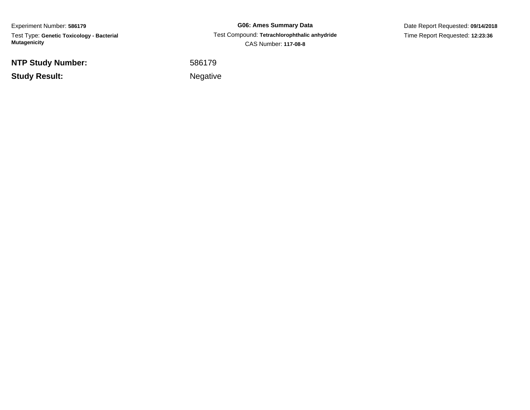Experiment Number: **586179**Test Type: **Genetic Toxicology - Bacterial Mutagenicity**

**NTP Study Number:**

**Study Result:**

**G06: Ames Summary Data** Test Compound: **Tetrachlorophthalic anhydride**CAS Number: **117-08-8**

Date Report Requested: **09/14/2018**Time Report Requested: **12:23:36**

 <sup>586179</sup>Negative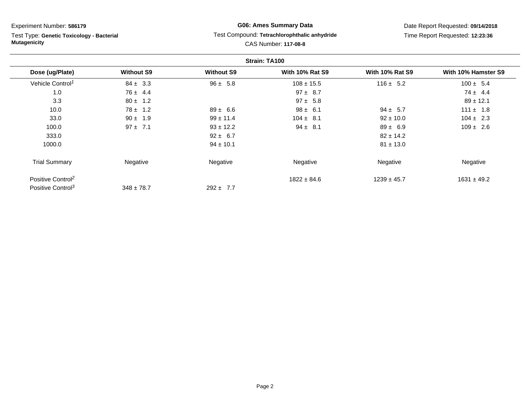Test Type: **Genetic Toxicology - Bacterial Mutagenicity**

## **G06: Ames Summary Data** Test Compound: **Tetrachlorophthalic anhydride**CAS Number: **117-08-8**

|                               |                   |                   | Strain: TA100          |                        |                     |
|-------------------------------|-------------------|-------------------|------------------------|------------------------|---------------------|
| Dose (ug/Plate)               | <b>Without S9</b> | <b>Without S9</b> | <b>With 10% Rat S9</b> | <b>With 10% Rat S9</b> | With 10% Hamster S9 |
| Vehicle Control <sup>1</sup>  | $84 \pm 3.3$      | $96 \pm 5.8$      | $108 \pm 15.5$         | $116 \pm 5.2$          | $100 \pm 5.4$       |
| 1.0                           | $76 \pm 4.4$      |                   | $97 \pm 8.7$           |                        | $74 \pm 4.4$        |
| 3.3                           | $80 \pm 1.2$      |                   | $97 \pm 5.8$           |                        | $89 \pm 12.1$       |
| 10.0                          | $78 \pm 1.2$      | $89 \pm 6.6$      | $98 \pm 6.1$           | $94 \pm 5.7$           | $111 \pm 1.8$       |
| 33.0                          | $90 \pm 1.9$      | $99 \pm 11.4$     | $104 \pm 8.1$          | $92 \pm 10.0$          | $104 \pm 2.3$       |
| 100.0                         | $97 \pm 7.1$      | $93 \pm 12.2$     | $94 \pm 8.1$           | $89 \pm 6.9$           | $109 \pm 2.6$       |
| 333.0                         |                   | $92 \pm 6.7$      |                        | $82 \pm 14.2$          |                     |
| 1000.0                        |                   | $94 \pm 10.1$     |                        | $81 \pm 13.0$          |                     |
| <b>Trial Summary</b>          | Negative          | Negative          | Negative               | Negative               | Negative            |
| Positive Control <sup>2</sup> |                   |                   | $1822 \pm 84.6$        | $1239 \pm 45.7$        | $1631 \pm 49.2$     |
| Positive Control <sup>3</sup> | $348 \pm 78.7$    | $292 \pm 7.7$     |                        |                        |                     |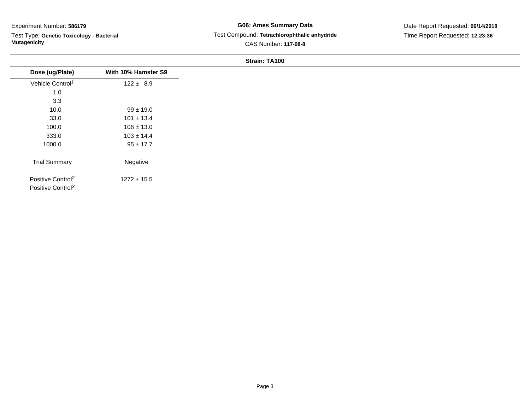Test Type: **Genetic Toxicology - Bacterial Mutagenicity**

## **G06: Ames Summary Data** Test Compound: **Tetrachlorophthalic anhydride**CAS Number: **117-08-8**

## Date Report Requested: **09/14/2018**Time Report Requested: **12:23:36**

| Dose (ug/Plate)                                                | With 10% Hamster S9 |
|----------------------------------------------------------------|---------------------|
| Vehicle Control <sup>1</sup>                                   | $122 \pm 8.9$       |
| 1.0                                                            |                     |
| 3.3                                                            |                     |
| 10.0                                                           | $99 \pm 19.0$       |
| 33.0                                                           | $101 \pm 13.4$      |
| 100.0                                                          | $108 \pm 13.0$      |
| 333.0                                                          | $103 \pm 14.4$      |
| 1000.0                                                         | $95 \pm 17.7$       |
| <b>Trial Summary</b>                                           | Negative            |
| Positive Control <sup>2</sup><br>Positive Control <sup>3</sup> | $1272 \pm 15.5$     |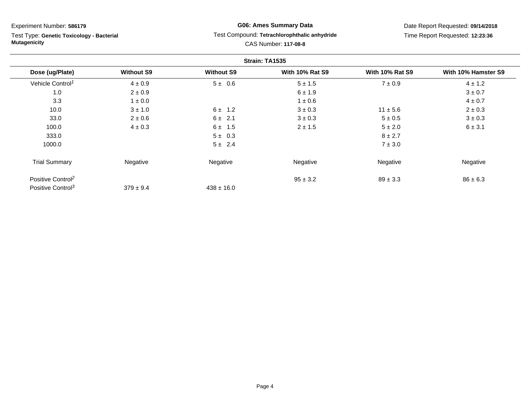Test Type: **Genetic Toxicology - Bacterial Mutagenicity**

## **G06: Ames Summary Data** Test Compound: **Tetrachlorophthalic anhydride**CAS Number: **117-08-8**

|                               |                   |                   | Strain: TA1535         |                        |                     |
|-------------------------------|-------------------|-------------------|------------------------|------------------------|---------------------|
| Dose (ug/Plate)               | <b>Without S9</b> | <b>Without S9</b> | <b>With 10% Rat S9</b> | <b>With 10% Rat S9</b> | With 10% Hamster S9 |
| Vehicle Control <sup>1</sup>  | $4 \pm 0.9$       | $5 \pm 0.6$       | $5 \pm 1.5$            | $7 \pm 0.9$            | $4 \pm 1.2$         |
| 1.0                           | $2 \pm 0.9$       |                   | $6 \pm 1.9$            |                        | $3 \pm 0.7$         |
| 3.3                           | $1\pm0.0$         |                   | $1 \pm 0.6$            |                        | $4 \pm 0.7$         |
| 10.0                          | $3 \pm 1.0$       | $6 \pm 1.2$       | $3 \pm 0.3$            | $11 \pm 5.6$           | $2 \pm 0.3$         |
| 33.0                          | $2\pm0.6$         | $6 \pm 2.1$       | $3 \pm 0.3$            | $5 \pm 0.5$            | $3 \pm 0.3$         |
| 100.0                         | $4 \pm 0.3$       | $6 \pm 1.5$       | $2 \pm 1.5$            | $5 \pm 2.0$            | 6 ± 3.1             |
| 333.0                         |                   | $5 \pm 0.3$       |                        | $8 \pm 2.7$            |                     |
| 1000.0                        |                   | $5 \pm 2.4$       |                        | $7 \pm 3.0$            |                     |
| <b>Trial Summary</b>          | Negative          | Negative          | Negative               | Negative               | Negative            |
| Positive Control <sup>2</sup> |                   |                   | $95 \pm 3.2$           | $89 \pm 3.3$           | $86 \pm 6.3$        |
| Positive Control <sup>3</sup> | $379 \pm 9.4$     | $438 \pm 16.0$    |                        |                        |                     |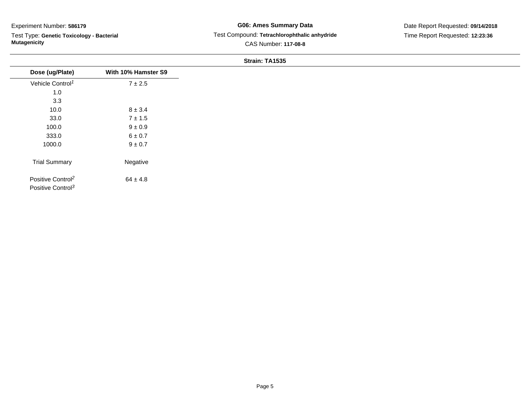Test Type: **Genetic Toxicology - Bacterial Mutagenicity**

## **G06: Ames Summary Data** Test Compound: **Tetrachlorophthalic anhydride**CAS Number: **117-08-8**

|                                                                |                     | _ |
|----------------------------------------------------------------|---------------------|---|
| Dose (ug/Plate)                                                | With 10% Hamster S9 |   |
| Vehicle Control <sup>1</sup>                                   | $7 \pm 2.5$         |   |
| 1.0                                                            |                     |   |
| 3.3                                                            |                     |   |
| 10.0                                                           | $8 \pm 3.4$         |   |
| 33.0                                                           | $7 \pm 1.5$         |   |
| 100.0                                                          | $9 \pm 0.9$         |   |
| 333.0                                                          | $6\pm0.7$           |   |
| 1000.0                                                         | $9\pm0.7$           |   |
|                                                                |                     |   |
| <b>Trial Summary</b>                                           | Negative            |   |
| Positive Control <sup>2</sup><br>Positive Control <sup>3</sup> | $64 \pm 4.8$        |   |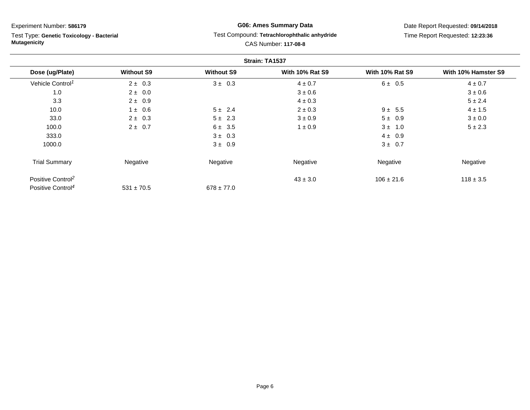Test Type: **Genetic Toxicology - Bacterial Mutagenicity**

## **G06: Ames Summary Data** Test Compound: **Tetrachlorophthalic anhydride**CAS Number: **117-08-8**

|                               |                   |                   | Strain: TA1537         |                        |                     |
|-------------------------------|-------------------|-------------------|------------------------|------------------------|---------------------|
| Dose (ug/Plate)               | <b>Without S9</b> | <b>Without S9</b> | <b>With 10% Rat S9</b> | <b>With 10% Rat S9</b> | With 10% Hamster S9 |
| Vehicle Control <sup>1</sup>  | $2 \pm 0.3$       | $3 \pm 0.3$       | $4 \pm 0.7$            | $6 \pm 0.5$            | $4 \pm 0.7$         |
| 1.0                           | $2 \pm 0.0$       |                   | $3 \pm 0.6$            |                        | $3 \pm 0.6$         |
| 3.3                           | $2 \pm 0.9$       |                   | $4 \pm 0.3$            |                        | $5 \pm 2.4$         |
| 10.0                          | $1 \pm 0.6$       | $5 \pm 2.4$       | $2 \pm 0.3$            | $9 \pm 5.5$            | $4 \pm 1.5$         |
| 33.0                          | $2 \pm 0.3$       | $5 \pm 2.3$       | $3 \pm 0.9$            | $5 \pm 0.9$            | $3 \pm 0.0$         |
| 100.0                         | $2 \pm 0.7$       | $6 \pm 3.5$       | $1 \pm 0.9$            | $3 \pm 1.0$            | $5 \pm 2.3$         |
| 333.0                         |                   | $3 \pm 0.3$       |                        | $4 \pm 0.9$            |                     |
| 1000.0                        |                   | $3 \pm 0.9$       |                        | $3 \pm 0.7$            |                     |
| <b>Trial Summary</b>          | Negative          | Negative          | Negative               | Negative               | Negative            |
| Positive Control <sup>2</sup> |                   |                   | $43 \pm 3.0$           | $106 \pm 21.6$         | $118 \pm 3.5$       |
| Positive Control <sup>4</sup> | $531 \pm 70.5$    | $678 \pm 77.0$    |                        |                        |                     |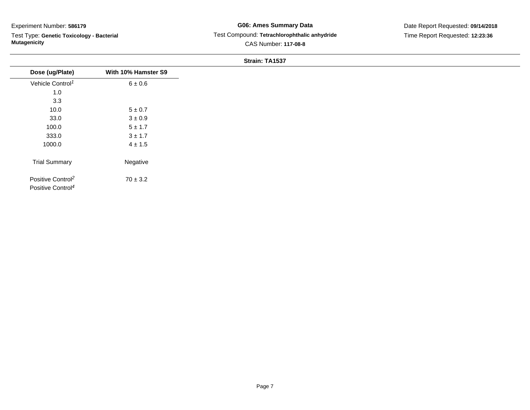Test Type: **Genetic Toxicology - Bacterial Mutagenicity**

## **G06: Ames Summary Data** Test Compound: **Tetrachlorophthalic anhydride**CAS Number: **117-08-8**

| Dose (ug/Plate)                                                | With 10% Hamster S9 |
|----------------------------------------------------------------|---------------------|
| Vehicle Control <sup>1</sup>                                   | $6 \pm 0.6$         |
| 1.0                                                            |                     |
| 3.3                                                            |                     |
| 10.0                                                           | $5\pm0.7$           |
| 33.0                                                           | $3\pm0.9$           |
| 100.0                                                          | $5\pm1.7$           |
| 333.0                                                          | $3 \pm 1.7$         |
| 1000.0                                                         | $4 \pm 1.5$         |
| <b>Trial Summary</b>                                           | Negative            |
| Positive Control <sup>2</sup><br>Positive Control <sup>4</sup> | $70 \pm 3.2$        |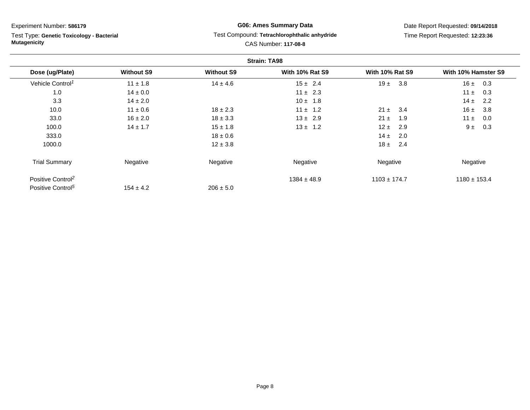Test Type: **Genetic Toxicology - Bacterial Mutagenicity**

# **G06: Ames Summary Data** Test Compound: **Tetrachlorophthalic anhydride**CAS Number: **117-08-8**

|                               |                   |                   | <b>Strain: TA98</b>    |                        |                     |
|-------------------------------|-------------------|-------------------|------------------------|------------------------|---------------------|
| Dose (ug/Plate)               | <b>Without S9</b> | <b>Without S9</b> | <b>With 10% Rat S9</b> | <b>With 10% Rat S9</b> | With 10% Hamster S9 |
| Vehicle Control <sup>1</sup>  | $11 \pm 1.8$      | $14 \pm 4.6$      | $15 \pm 2.4$           | 3.8<br>19±             | 0.3<br>16±          |
| 1.0                           | $14 \pm 0.0$      |                   | $11 \pm 2.3$           |                        | $11 \pm$<br>0.3     |
| 3.3                           | $14 \pm 2.0$      |                   | $10 \pm 1.8$           |                        | $14 \pm$<br>2.2     |
| 10.0                          | $11 \pm 0.6$      | $18 \pm 2.3$      | $11 \pm 1.2$           | $21 \pm$<br>3.4        | 16±<br>3.8          |
| 33.0                          | $16 \pm 2.0$      | $18 \pm 3.3$      | $13 \pm 2.9$           | $21 \pm$<br>1.9        | $11 \pm$<br>0.0     |
| 100.0                         | $14 \pm 1.7$      | $15 \pm 1.8$      | $13 \pm 1.2$           | $12 \pm$<br>2.9        | 9t<br>0.3           |
| 333.0                         |                   | $18 \pm 0.6$      |                        | 14 $\pm$<br>2.0        |                     |
| 1000.0                        |                   | $12 \pm 3.8$      |                        | $18 \pm$<br>2.4        |                     |
| <b>Trial Summary</b>          | Negative          | Negative          | Negative               | Negative               | Negative            |
| Positive Control <sup>2</sup> |                   |                   | $1384 \pm 48.9$        | $1103 \pm 174.7$       | $1180 \pm 153.4$    |
| Positive Control <sup>5</sup> | $154 \pm 4.2$     | $206 \pm 5.0$     |                        |                        |                     |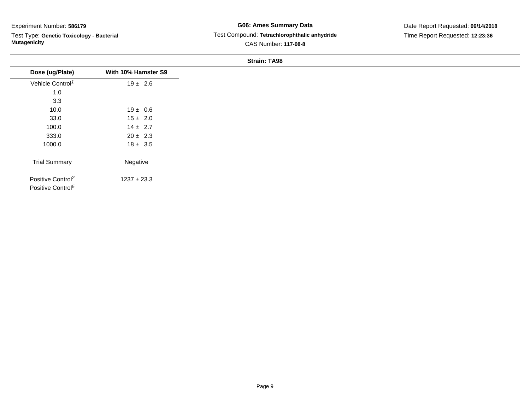$\overline{\phantom{0}}$ 

Test Type: **Genetic Toxicology - Bacterial Mutagenicity**

## **G06: Ames Summary Data** Test Compound: **Tetrachlorophthalic anhydride**CAS Number: **117-08-8**

Date Report Requested: **09/14/2018**Time Report Requested: **12:23:36**

| Dose (ug/Plate)                                                | With 10% Hamster S9 |
|----------------------------------------------------------------|---------------------|
| Vehicle Control <sup>1</sup>                                   | $19 \pm 2.6$        |
| 1.0                                                            |                     |
| 3.3                                                            |                     |
| 10.0                                                           | $19 \pm 0.6$        |
| 33.0                                                           | $15 \pm 2.0$        |
| 100.0                                                          | $14 \pm 2.7$        |
| 333.0                                                          | $20 \pm 2.3$        |
| 1000.0                                                         | $18 \pm 3.5$        |
| <b>Trial Summary</b>                                           | Negative            |
| Positive Control <sup>2</sup><br>Positive Control <sup>5</sup> | $1237 \pm 23.3$     |